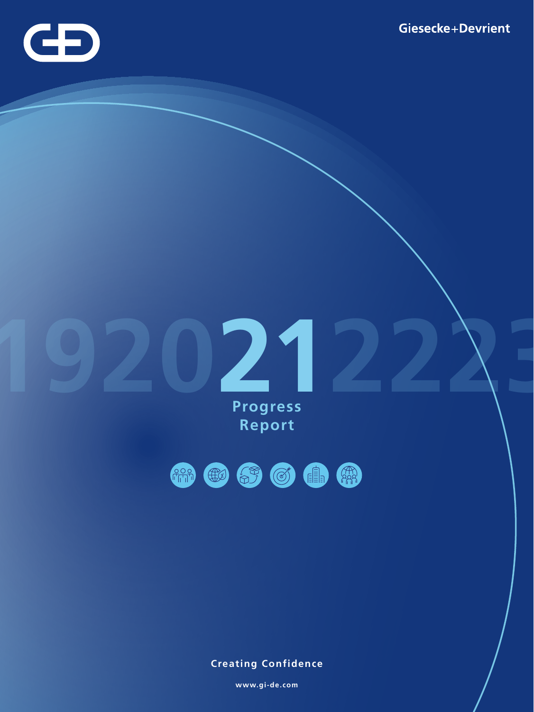

**Progress Report** 



**Creating Confidence**

**www.gi-de.com**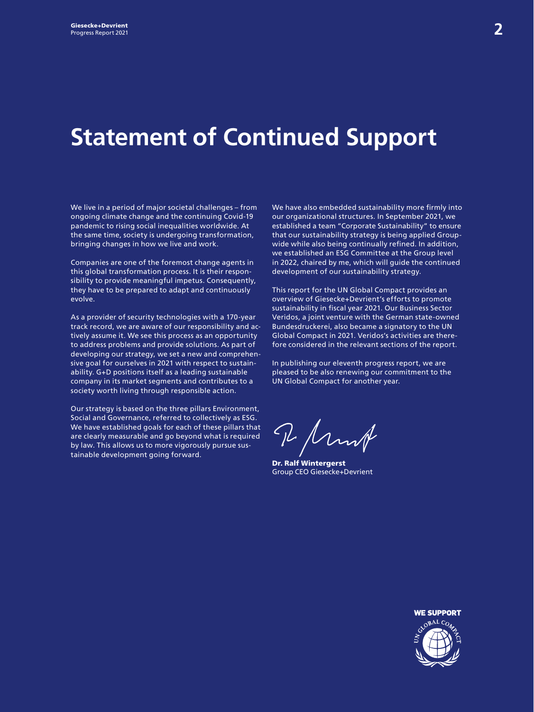## **Statement of Continued Support**

We live in a period of major societal challenges – from ongoing climate change and the continuing Covid-19 pandemic to rising social inequalities worldwide. At the same time, society is undergoing transformation, bringing changes in how we live and work.

Companies are one of the foremost change agents in this global transformation process. It is their responsibility to provide meaningful impetus. Consequently, they have to be prepared to adapt and continuously evolve.

As a provider of security technologies with a 170-year track record, we are aware of our responsibility and actively assume it. We see this process as an opportunity to address problems and provide solutions. As part of developing our strategy, we set a new and comprehensive goal for ourselves in 2021 with respect to sustainability. G+D positions itself as a leading sustainable company in its market segments and contributes to a society worth living through responsible action.

Our strategy is based on the three pillars Environment, Social and Governance, referred to collectively as ESG. We have established goals for each of these pillars that are clearly measurable and go beyond what is required by law. This allows us to more vigorously pursue sustainable development going forward.

We have also embedded sustainability more firmly into our organizational structures. In September 2021, we established a team "Corporate Sustainability" to ensure that our sustainability strategy is being applied Groupwide while also being continually refined. In addition, we established an ESG Committee at the Group level in 2022, chaired by me, which will guide the continued development of our sustainability strategy.

This report for the UN Global Compact provides an overview of Giesecke+Devrient's efforts to promote sustainability in fiscal year 2021. Our Business Sector Veridos, a joint venture with the German state-owned Bundesdruckerei, also became a signatory to the UN Global Compact in 2021. Veridos's activities are therefore considered in the relevant sections of the report.

In publishing our eleventh progress report, we are pleased to be also renewing our commitment to the UN Global Compact for another year.

I Munt

Dr. Ralf Wintergerst Group CEO Giesecke+Devrient

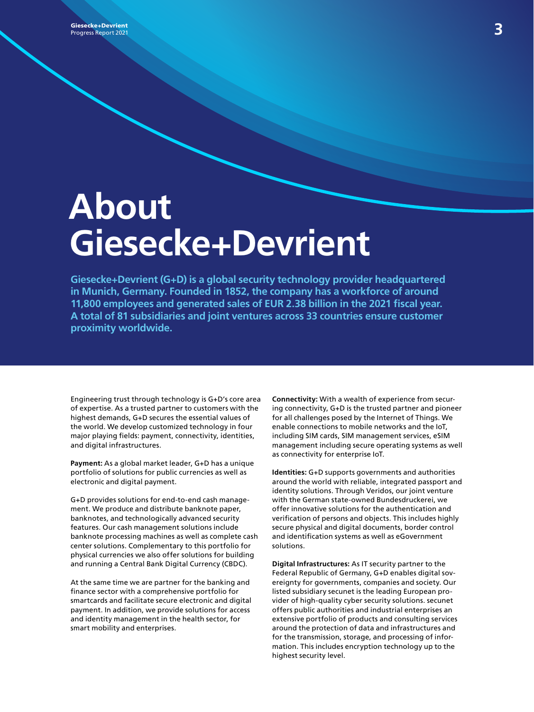**Siesecke+Devrient Security (1996)**<br>Progress Report 2021 Progress Report 2021

# **About Giesecke+Devrient**

**Giesecke+Devrient (G+D) is a global security technology provider headquartered in Munich, Germany. Founded in 1852, the company has a workforce of around 11,800 employees and generated sales of EUR 2.38 billion in the 2021 fiscal year. A total of 81 subsidiaries and joint ventures across 33 countries ensure customer proximity worldwide.**

Engineering trust through technology is G+D's core area of expertise. As a trusted partner to customers with the highest demands, G+D secures the essential values of the world. We develop customized technology in four major playing fields: payment, connectivity, identities, and digital infrastructures.

**Payment:** As a global market leader, G+D has a unique portfolio of solutions for public currencies as well as electronic and digital payment.

G+D provides solutions for end-to-end cash management. We produce and distribute banknote paper, banknotes, and technologically advanced security features. Our cash management solutions include banknote processing machines as well as complete cash center solutions. Complementary to this portfolio for physical currencies we also offer solutions for building and running a Central Bank Digital Currency (CBDC).

At the same time we are partner for the banking and finance sector with a comprehensive portfolio for smartcards and facilitate secure electronic and digital payment. In addition, we provide solutions for access and identity management in the health sector, for smart mobility and enterprises.

**Connectivity:** With a wealth of experience from securing connectivity, G+D is the trusted partner and pioneer for all challenges posed by the Internet of Things. We enable connections to mobile networks and the IoT, including SIM cards, SIM management services, eSIM management including secure operating systems as well as connectivity for enterprise IoT.

**Identities:** G+D supports governments and authorities around the world with reliable, integrated passport and identity solutions. Through Veridos, our joint venture with the German state-owned Bundesdruckerei, we offer innovative solutions for the authentication and verification of persons and objects. This includes highly secure physical and digital documents, border control and identification systems as well as eGovernment solutions.

**Digital Infrastructures:** As IT security partner to the Federal Republic of Germany, G+D enables digital sovereignty for governments, companies and society. Our listed subsidiary secunet is the leading European provider of high-quality cyber security solutions. secunet offers public authorities and industrial enterprises an extensive portfolio of products and consulting services around the protection of data and infrastructures and for the transmission, storage, and processing of information. This includes encryption technology up to the highest security level.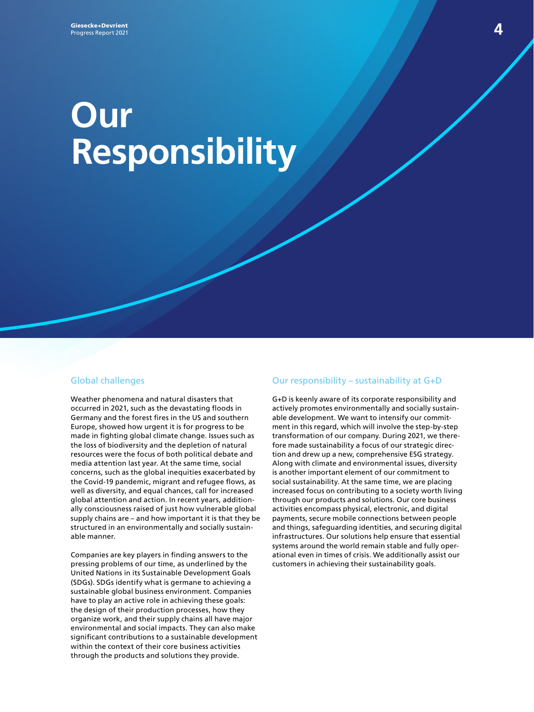# **Our Responsibility**

#### Global challenges

Weather phenomena and natural disasters that occurred in 2021, such as the devastating floods in Germany and the forest fires in the US and southern Europe, showed how urgent it is for progress to be made in fighting global climate change. Issues such as the loss of biodiversity and the depletion of natural resources were the focus of both political debate and media attention last year. At the same time, social concerns, such as the global inequities exacerbated by the Covid-19 pandemic, migrant and refugee flows, as well as diversity, and equal chances, call for increased global attention and action. In recent years, additionally consciousness raised of just how vulnerable global supply chains are – and how important it is that they be structured in an environmentally and socially sustainable manner.

Companies are key players in finding answers to the pressing problems of our time, as underlined by the United Nations in its Sustainable Development Goals (SDGs). SDGs identify what is germane to achieving a sustainable global business environment. Companies have to play an active role in achieving these goals: the design of their production processes, how they organize work, and their supply chains all have major environmental and social impacts. They can also make significant contributions to a sustainable development within the context of their core business activities through the products and solutions they provide.

#### Our responsibility – sustainability at G+D

G+D is keenly aware of its corporate responsibility and actively promotes environmentally and socially sustainable development. We want to intensify our commitment in this regard, which will involve the step-by-step transformation of our company. During 2021, we therefore made sustainability a focus of our strategic direction and drew up a new, comprehensive ESG strategy. Along with climate and environmental issues, diversity is another important element of our commitment to social sustainability. At the same time, we are placing increased focus on contributing to a society worth living through our products and solutions. Our core business activities encompass physical, electronic, and digital payments, secure mobile connections between people and things, safeguarding identities, and securing digital infrastructures. Our solutions help ensure that essential systems around the world remain stable and fully operational even in times of crisis. We additionally assist our customers in achieving their sustainability goals.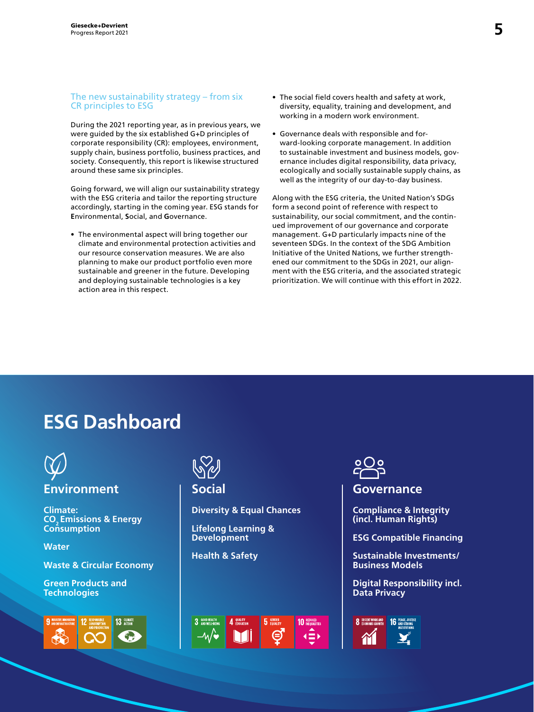#### The new sustainability strategy – from six CR principles to ESG

During the 2021 reporting year, as in previous years, we were guided by the six established G+D principles of corporate responsibility (CR): employees, environment, supply chain, business portfolio, business practices, and society. Consequently, this report is likewise structured around these same six principles.

Going forward, we will align our sustainability strategy with the ESG criteria and tailor the reporting structure accordingly, starting in the coming year. ESG stands for **E**nvironmental, **S**ocial, and **G**overnance.

• The environmental aspect will bring together our climate and environmental protection activities and our resource conservation measures. We are also planning to make our product portfolio even more sustainable and greener in the future. Developing and deploying sustainable technologies is a key action area in this respect.

- The social field covers health and safety at work, diversity, equality, training and development, and working in a modern work environment.
- Governance deals with responsible and forward-looking corporate management. In addition to sustainable investment and business models, governance includes digital responsibility, data privacy, ecologically and socially sustainable supply chains, as well as the integrity of our day-to-day business.

Along with the ESG criteria, the United Nation's SDGs form a second point of reference with respect to sustainability, our social commitment, and the continued improvement of our governance and corporate management. G+D particularly impacts nine of the seventeen SDGs. In the context of the SDG Ambition Initiative of the United Nations, we further strengthened our commitment to the SDGs in 2021, our alignment with the ESG criteria, and the associated strategic prioritization. We will continue with this effort in 2022.

## **ESG Dashboard**



**Climate: CO2 Emissions & Energy Consumption**

**Water**

**Waste & Circular Economy**

**Green Products and Technologies**





**Diversity & Equal Chances**

**Lifelong Learning & Development**

**Health & Safety**





#### **Social Governance**

**Compliance & Integrity (incl. Human Rights)**

**ESG Compatible Financing**

**Sustainable Investments/ Business Models**

**Digital Responsibility incl. Data Privacy**

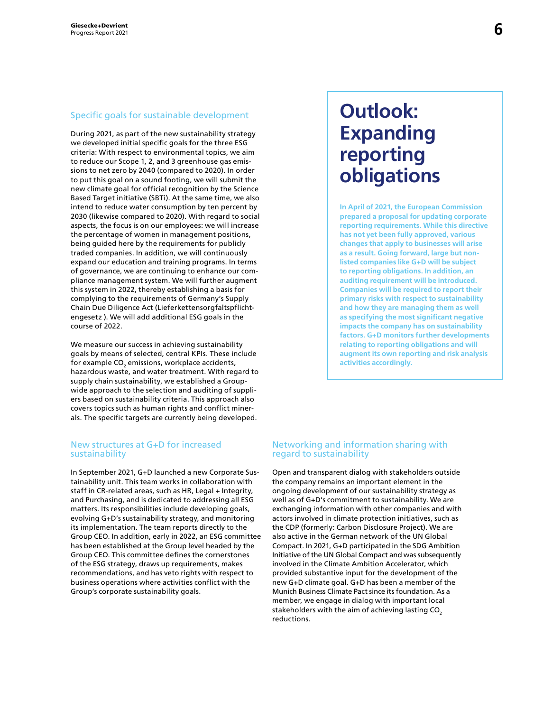#### Specific goals for sustainable development

During 2021, as part of the new sustainability strategy we developed initial specific goals for the three ESG criteria: With respect to environmental topics, we aim to reduce our Scope 1, 2, and 3 greenhouse gas emissions to net zero by 2040 (compared to 2020). In order to put this goal on a sound footing, we will submit the new climate goal for official recognition by the Science Based Target initiative (SBTi). At the same time, we also intend to reduce water consumption by ten percent by 2030 (likewise compared to 2020). With regard to social aspects, the focus is on our employees: we will increase the percentage of women in management positions, being guided here by the requirements for publicly traded companies. In addition, we will continuously expand our education and training programs. In terms of governance, we are continuing to enhance our compliance management system. We will further augment this system in 2022, thereby establishing a basis for complying to the requirements of Germany's Supply Chain Due Diligence Act (Lieferkettensorgfaltspflichtengesetz ). We will add additional ESG goals in the course of 2022.

We measure our success in achieving sustainability goals by means of selected, central KPIs. These include for example CO $_{\textrm{\tiny{2}}}$  emissions, workplace accidents, hazardous waste, and water treatment. With regard to supply chain sustainability, we established a Groupwide approach to the selection and auditing of suppliers based on sustainability criteria. This approach also covers topics such as human rights and conflict minerals. The specific targets are currently being developed.

#### New structures at G+D for increased sustainability

In September 2021, G+D launched a new Corporate Sustainability unit. This team works in collaboration with staff in CR-related areas, such as HR, Legal + Integrity, and Purchasing, and is dedicated to addressing all ESG matters. Its responsibilities include developing goals, evolving G+D's sustainability strategy, and monitoring its implementation. The team reports directly to the Group CEO. In addition, early in 2022, an ESG committee has been established at the Group level headed by the Group CEO. This committee defines the cornerstones of the ESG strategy, draws up requirements, makes recommendations, and has veto rights with respect to business operations where activities conflict with the Group's corporate sustainability goals.

## **Outlook: Expanding reporting obligations**

**In April of 2021, the European Commission prepared a proposal for updating corporate reporting requirements. While this directive has not yet been fully approved, various changes that apply to businesses will arise as a result. Going forward, large but nonlisted companies like G+D will be subject to reporting obligations. In addition, an auditing requirement will be introduced. Companies will be required to report their primary risks with respect to sustainability and how they are managing them as well as specifying the most significant negative impacts the company has on sustainability factors. G+D monitors further developments relating to reporting obligations and will augment its own reporting and risk analysis activities accordingly.**

#### Networking and information sharing with regard to sustainability

Open and transparent dialog with stakeholders outside the company remains an important element in the ongoing development of our sustainability strategy as well as of G+D's commitment to sustainability. We are exchanging information with other companies and with actors involved in climate protection initiatives, such as the CDP (formerly: Carbon Disclosure Project). We are also active in the German network of the UN Global Compact. In 2021, G+D participated in the SDG Ambition Initiative of the UN Global Compact and was subsequently involved in the Climate Ambition Accelerator, which provided substantive input for the development of the new G+D climate goal. G+D has been a member of the Munich Business Climate Pact since its foundation. As a member, we engage in dialog with important local stakeholders with the aim of achieving lasting CO<sub>2</sub> reductions.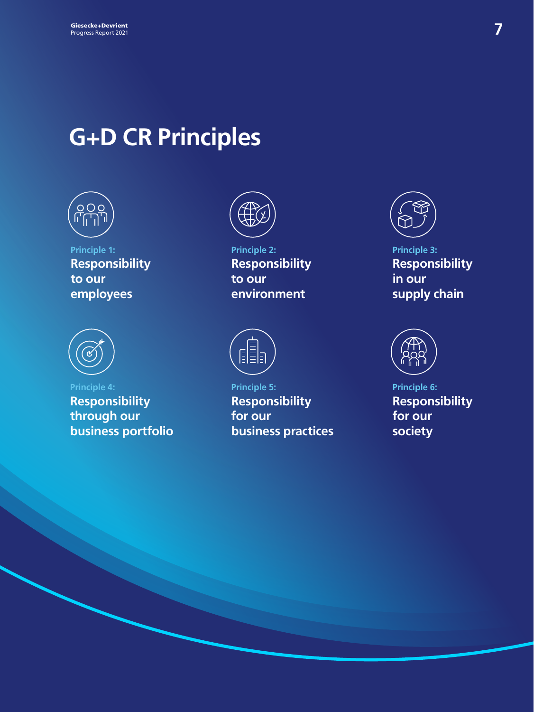## **G+D CR Principles**



**Principle 1: Responsibility to our employees** 



**Principle 4: Responsibility through our business portfolio**



**Principle 2: Responsibility to our environment**



**Principle 5: Responsibility for our business practices**



**Principle 3: Responsibility in our supply chain**



**Principle 6: Responsibility for our society**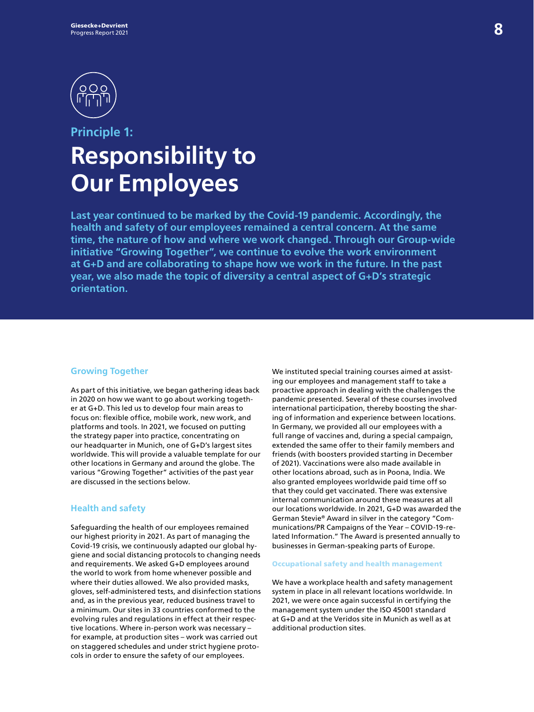

## **Principle 1: Responsibility to Our Employees**

**Last year continued to be marked by the Covid-19 pandemic. Accordingly, the health and safety of our employees remained a central concern. At the same time, the nature of how and where we work changed. Through our Group-wide initiative "Growing Together", we continue to evolve the work environment at G+D and are collaborating to shape how we work in the future. In the past year, we also made the topic of diversity a central aspect of G+D's strategic orientation.** 

#### **Growing Together**

As part of this initiative, we began gathering ideas back in 2020 on how we want to go about working together at G+D. This led us to develop four main areas to focus on: flexible office, mobile work, new work, and platforms and tools. In 2021, we focused on putting the strategy paper into practice, concentrating on our headquarter in Munich, one of G+D's largest sites worldwide. This will provide a valuable template for our other locations in Germany and around the globe. The various "Growing Together" activities of the past year are discussed in the sections below.

#### **Health and safety**

Safeguarding the health of our employees remained our highest priority in 2021. As part of managing the Covid-19 crisis, we continuously adapted our global hygiene and social distancing protocols to changing needs and requirements. We asked G+D employees around the world to work from home whenever possible and where their duties allowed. We also provided masks, gloves, self-administered tests, and disinfection stations and, as in the previous year, reduced business travel to a minimum. Our sites in 33 countries conformed to the evolving rules and regulations in effect at their respective locations. Where in-person work was necessary – for example, at production sites – work was carried out on staggered schedules and under strict hygiene protocols in order to ensure the safety of our employees.

We instituted special training courses aimed at assisting our employees and management staff to take a proactive approach in dealing with the challenges the pandemic presented. Several of these courses involved international participation, thereby boosting the sharing of information and experience between locations. In Germany, we provided all our employees with a full range of vaccines and, during a special campaign, extended the same offer to their family members and friends (with boosters provided starting in December of 2021). Vaccinations were also made available in other locations abroad, such as in Poona, India. We also granted employees worldwide paid time off so that they could get vaccinated. There was extensive internal communication around these measures at all our locations worldwide. In 2021, G+D was awarded the German Stevie® Award in silver in the category "Communications/PR Campaigns of the Year – COVID-19-related Information." The Award is presented annually to businesses in German-speaking parts of Europe.

#### Occupational safety and health management

We have a workplace health and safety management system in place in all relevant locations worldwide. In 2021, we were once again successful in certifying the management system under the ISO 45001 standard at G+D and at the Veridos site in Munich as well as at additional production sites.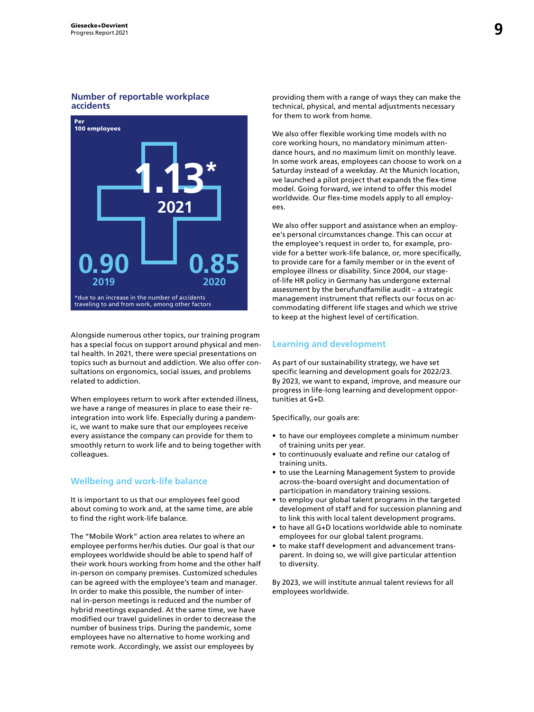#### **Number of reportable workplace accidents**



Alongside numerous other topics, our training program has a special focus on support around physical and mental health. In 2021, there were special presentations on topics such as burnout and addiction. We also offer consultations on ergonomics, social issues, and problems related to addiction.

When employees return to work after extended illness, we have a range of measures in place to ease their reintegration into work life. Especially during a pandemic, we want to make sure that our employees receive every assistance the company can provide for them to smoothly return to work life and to being together with colleagues.

#### **Wellbeing and work-life balance**

It is important to us that our employees feel good about coming to work and, at the same time, are able to find the right work-life balance.

The "Mobile Work" action area relates to where an employee performs her/his duties. Our goal is that our employees worldwide should be able to spend half of their work hours working from home and the other half in-person on company premises. Customized schedules can be agreed with the employee's team and manager. In order to make this possible, the number of internal in-person meetings is reduced and the number of hybrid meetings expanded. At the same time, we have modified our travel guidelines in order to decrease the number of business trips. During the pandemic, some employees have no alternative to home working and remote work. Accordingly, we assist our employees by

providing them with a range of ways they can make the technical, physical, and mental adjustments necessary for them to work from home.

We also offer flexible working time models with no core working hours, no mandatory minimum attendance hours, and no maximum limit on monthly leave. In some work areas, employees can choose to work on a Saturday instead of a weekday. At the Munich location, we launched a pilot project that expands the flex-time model. Going forward, we intend to offer this model worldwide. Our flex-time models apply to all employees.

We also offer support and assistance when an employee's personal circumstances change. This can occur at the employee's request in order to, for example, provide for a better work-life balance, or, more specifically, to provide care for a family member or in the event of employee illness or disability. Since 2004, our stageof-life HR policy in Germany has undergone external assessment by the berufundfamilie audit – a strategic management instrument that reflects our focus on accommodating different life stages and which we strive to keep at the highest level of certification.

#### **Learning and development**

As part of our sustainability strategy, we have set specific learning and development goals for 2022/23. By 2023, we want to expand, improve, and measure our progress in life-long learning and development opportunities at G+D.

Specifically, our goals are:

- to have our employees complete a minimum number of training units per year.
- to continuously evaluate and refine our catalog of training units.
- to use the Learning Management System to provide across-the-board oversight and documentation of participation in mandatory training sessions.
- to employ our global talent programs in the targeted development of staff and for succession planning and to link this with local talent development programs.
- to have all G+D locations worldwide able to nominate employees for our global talent programs.
- to make staff development and advancement transparent. In doing so, we will give particular attention to diversity.

By 2023, we will institute annual talent reviews for all employees worldwide.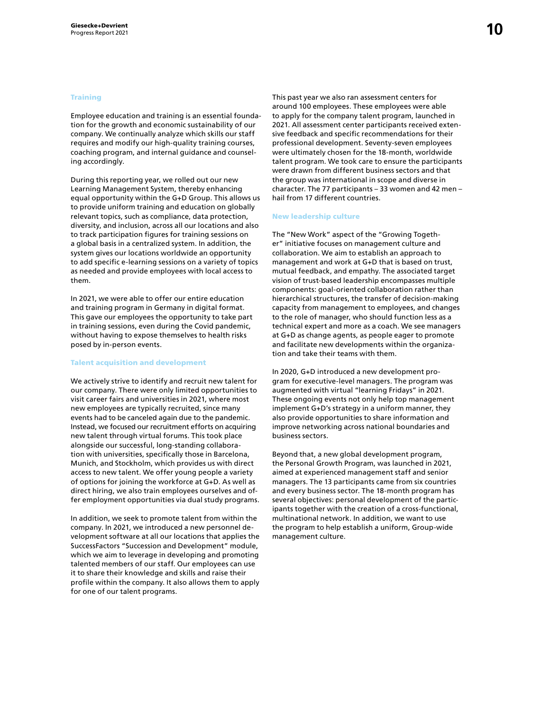#### **Training**

Employee education and training is an essential foundation for the growth and economic sustainability of our company. We continually analyze which skills our staff requires and modify our high-quality training courses, coaching program, and internal guidance and counseling accordingly.

During this reporting year, we rolled out our new Learning Management System, thereby enhancing equal opportunity within the G+D Group. This allows us to provide uniform training and education on globally relevant topics, such as compliance, data protection, diversity, and inclusion, across all our locations and also to track participation figures for training sessions on a global basis in a centralized system. In addition, the system gives our locations worldwide an opportunity to add specific e-learning sessions on a variety of topics as needed and provide employees with local access to them.

In 2021, we were able to offer our entire education and training program in Germany in digital format. This gave our employees the opportunity to take part in training sessions, even during the Covid pandemic, without having to expose themselves to health risks posed by in-person events.

#### Talent acquisition and development

We actively strive to identify and recruit new talent for our company. There were only limited opportunities to visit career fairs and universities in 2021, where most new employees are typically recruited, since many events had to be canceled again due to the pandemic. Instead, we focused our recruitment efforts on acquiring new talent through virtual forums. This took place alongside our successful, long-standing collaboration with universities, specifically those in Barcelona, Munich, and Stockholm, which provides us with direct access to new talent. We offer young people a variety of options for joining the workforce at G+D. As well as direct hiring, we also train employees ourselves and offer employment opportunities via dual study programs.

In addition, we seek to promote talent from within the company. In 2021, we introduced a new personnel development software at all our locations that applies the SuccessFactors "Succession and Development" module, which we aim to leverage in developing and promoting talented members of our staff. Our employees can use it to share their knowledge and skills and raise their profile within the company. It also allows them to apply for one of our talent programs.

This past year we also ran assessment centers for around 100 employees. These employees were able to apply for the company talent program, launched in 2021. All assessment center participants received extensive feedback and specific recommendations for their professional development. Seventy-seven employees were ultimately chosen for the 18-month, worldwide talent program. We took care to ensure the participants were drawn from different business sectors and that the group was international in scope and diverse in character. The 77 participants – 33 women and 42 men – hail from 17 different countries.

#### New leadership culture

The "New Work" aspect of the "Growing Together" initiative focuses on management culture and collaboration. We aim to establish an approach to management and work at G+D that is based on trust, mutual feedback, and empathy. The associated target vision of trust-based leadership encompasses multiple components: goal-oriented collaboration rather than hierarchical structures, the transfer of decision-making capacity from management to employees, and changes to the role of manager, who should function less as a technical expert and more as a coach. We see managers at G+D as change agents, as people eager to promote and facilitate new developments within the organization and take their teams with them.

In 2020, G+D introduced a new development program for executive-level managers. The program was augmented with virtual "learning Fridays" in 2021. These ongoing events not only help top management implement G+D's strategy in a uniform manner, they also provide opportunities to share information and improve networking across national boundaries and business sectors.

Beyond that, a new global development program, the Personal Growth Program, was launched in 2021, aimed at experienced management staff and senior managers. The 13 participants came from six countries and every business sector. The 18-month program has several objectives: personal development of the participants together with the creation of a cross-functional, multinational network. In addition, we want to use the program to help establish a uniform, Group-wide management culture.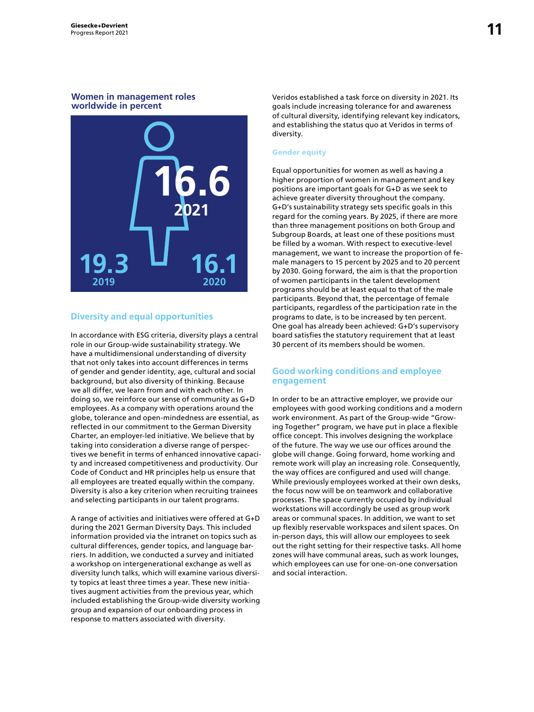#### **Women in management roles worldwide in percent**



#### **Diversity and equal opportunities**

In accordance with ESG criteria, diversity plays a central role in our Group-wide sustainability strategy. We have a multidimensional understanding of diversity that not only takes into account differences in terms of gender and gender identity, age, cultural and social background, but also diversity of thinking. Because we all differ, we learn from and with each other. In doing so, we reinforce our sense of community as G+D employees. As a company with operations around the globe, tolerance and open-mindedness are essential, as reflected in our commitment to the German Diversity Charter, an employer-led initiative. We believe that by taking into consideration a diverse range of perspectives we benefit in terms of enhanced innovative capacity and increased competitiveness and productivity. Our Code of Conduct and HR principles help us ensure that all employees are treated equally within the company. Diversity is also a key criterion when recruiting trainees and selecting participants in our talent programs.

A range of activities and initiatives were offered at G+D during the 2021 German Diversity Days. This included information provided via the intranet on topics such as cultural differences, gender topics, and language barriers. In addition, we conducted a survey and initiated a workshop on intergenerational exchange as well as diversity lunch talks, which will examine various diversity topics at least three times a year. These new initiatives augment activities from the previous year, which included establishing the Group-wide diversity working group and expansion of our onboarding process in response to matters associated with diversity.

Veridos established a task force on diversity in 2021. Its goals include increasing tolerance for and awareness of cultural diversity, identifying relevant key indicators, and establishing the status quo at Veridos in terms of diversity.

#### Gender equity

Equal opportunities for women as well as having a higher proportion of women in management and key positions are important goals for G+D as we seek to achieve greater diversity throughout the company. G+D's sustainability strategy sets specific goals in this regard for the coming years. By 2025, if there are more than three management positions on both Group and Subgroup Boards, at least one of these positions must be filled by a woman. With respect to executive-level management, we want to increase the proportion of female managers to 15 percent by 2025 and to 20 percent by 2030. Going forward, the aim is that the proportion of women participants in the talent development programs should be at least equal to that of the male participants. Beyond that, the percentage of female participants, regardless of the participation rate in the programs to date, is to be increased by ten percent. One goal has already been achieved: G+D's supervisory board satisfies the statutory requirement that at least 30 percent of its members should be women.

#### **Good working conditions and employee engagement**

In order to be an attractive employer, we provide our employees with good working conditions and a modern work environment. As part of the Group-wide "Growing Together" program, we have put in place a flexible office concept. This involves designing the workplace of the future. The way we use our offices around the globe will change. Going forward, home working and remote work will play an increasing role. Consequently, the way offices are configured and used will change. While previously employees worked at their own desks, the focus now will be on teamwork and collaborative processes. The space currently occupied by individual workstations will accordingly be used as group work areas or communal spaces. In addition, we want to set up flexibly reservable workspaces and silent spaces. On in-person days, this will allow our employees to seek out the right setting for their respective tasks. All home zones will have communal areas, such as work lounges, which employees can use for one-on-one conversation and social interaction.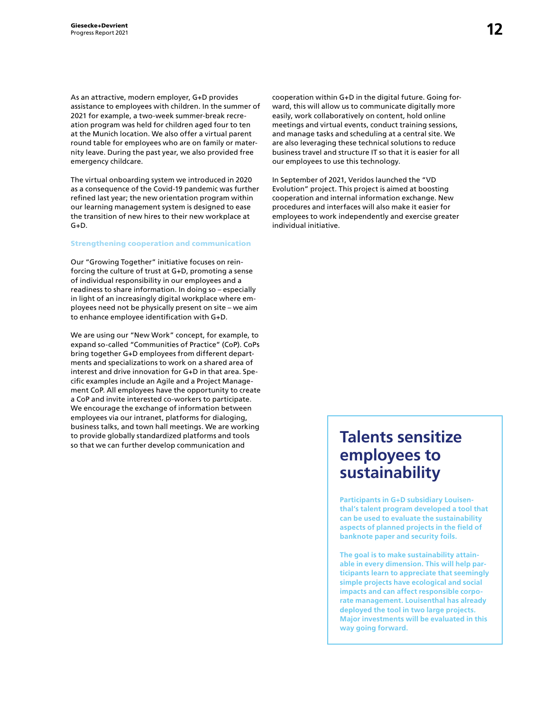As an attractive, modern employer, G+D provides assistance to employees with children. In the summer of 2021 for example, a two-week summer-break recreation program was held for children aged four to ten at the Munich location. We also offer a virtual parent round table for employees who are on family or maternity leave. During the past year, we also provided free emergency childcare.

The virtual onboarding system we introduced in 2020 as a consequence of the Covid-19 pandemic was further refined last year; the new orientation program within our learning management system is designed to ease the transition of new hires to their new workplace at G+D.

#### Strengthening cooperation and communication

Our "Growing Together" initiative focuses on reinforcing the culture of trust at G+D, promoting a sense of individual responsibility in our employees and a readiness to share information. In doing so – especially in light of an increasingly digital workplace where employees need not be physically present on site – we aim to enhance employee identification with G+D.

We are using our "New Work" concept, for example, to expand so-called "Communities of Practice" (CoP). CoPs bring together G+D employees from different departments and specializations to work on a shared area of interest and drive innovation for G+D in that area. Specific examples include an Agile and a Project Management CoP. All employees have the opportunity to create a CoP and invite interested co-workers to participate. We encourage the exchange of information between employees via our intranet, platforms for dialoging, business talks, and town hall meetings. We are working to provide globally standardized platforms and tools so that we can further develop communication and

cooperation within G+D in the digital future. Going forward, this will allow us to communicate digitally more easily, work collaboratively on content, hold online meetings and virtual events, conduct training sessions, and manage tasks and scheduling at a central site. We are also leveraging these technical solutions to reduce business travel and structure IT so that it is easier for all our employees to use this technology.

In September of 2021, Veridos launched the "VD Evolution" project. This project is aimed at boosting cooperation and internal information exchange. New procedures and interfaces will also make it easier for employees to work independently and exercise greater individual initiative.

## **Talents sensitize employees to sustainability**

**Participants in G+D subsidiary Louisenthal's talent program developed a tool that can be used to evaluate the sustainability aspects of planned projects in the field of banknote paper and security foils.** 

**The goal is to make sustainability attainable in every dimension. This will help participants learn to appreciate that seemingly simple projects have ecological and social impacts and can affect responsible corporate management. Louisenthal has already deployed the tool in two large projects. Major investments will be evaluated in this way going forward.**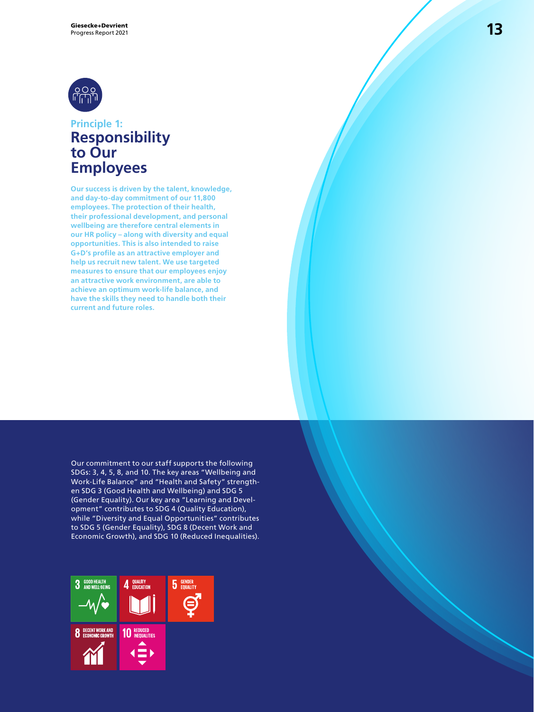

### **Principle 1: Responsibility to Our Employees**

**Our success is driven by the talent, knowledge, and day-to-day commitment of our 11,800 employees. The protection of their health, their professional development, and personal wellbeing are therefore central elements in our HR policy – along with diversity and equal opportunities. This is also intended to raise G+D's profile as an attractive employer and help us recruit new talent. We use targeted measures to ensure that our employees enjoy an attractive work environment, are able to achieve an optimum work-life balance, and have the skills they need to handle both their current and future roles.**

Our commitment to our staff supports the following SDGs: 3, 4, 5, 8, and 10. The key areas "Wellbeing and Work-Life Balance" and "Health and Safety" strengthen SDG 3 (Good Health and Wellbeing) and SDG 5 (Gender Equality). Our key area "Learning and Development" contributes to SDG 4 (Quality Education), while "Diversity and Equal Opportunities" contributes to SDG 5 (Gender Equality), SDG 8 (Decent Work and Economic Growth), and SDG 10 (Reduced Inequalities).

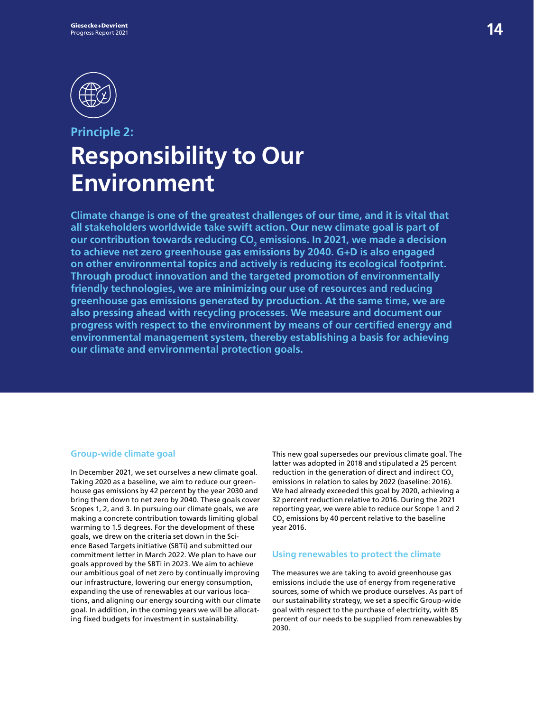

## **Principle 2: Responsibility to Our Environment**

**Climate change is one of the greatest challenges of our time, and it is vital that all stakeholders worldwide take swift action. Our new climate goal is part of**  our contribution towards reducing CO<sub>2</sub> emissions. In 2021, we made a decision **to achieve net zero greenhouse gas emissions by 2040. G+D is also engaged on other environmental topics and actively is reducing its ecological footprint. Through product innovation and the targeted promotion of environmentally friendly technologies, we are minimizing our use of resources and reducing greenhouse gas emissions generated by production. At the same time, we are also pressing ahead with recycling processes. We measure and document our progress with respect to the environment by means of our certified energy and environmental management system, thereby establishing a basis for achieving our climate and environmental protection goals.** 

#### **Group-wide climate goal**

In December 2021, we set ourselves a new climate goal. Taking 2020 as a baseline, we aim to reduce our greenhouse gas emissions by 42 percent by the year 2030 and bring them down to net zero by 2040. These goals cover Scopes 1, 2, and 3. In pursuing our climate goals, we are making a concrete contribution towards limiting global warming to 1.5 degrees. For the development of these goals, we drew on the criteria set down in the Science Based Targets initiative (SBTi) and submitted our commitment letter in March 2022. We plan to have our goals approved by the SBTi in 2023. We aim to achieve our ambitious goal of net zero by continually improving our infrastructure, lowering our energy consumption, expanding the use of renewables at our various locations, and aligning our energy sourcing with our climate goal. In addition, in the coming years we will be allocating fixed budgets for investment in sustainability.

This new goal supersedes our previous climate goal. The latter was adopted in 2018 and stipulated a 25 percent reduction in the generation of direct and indirect CO<sub>2</sub> emissions in relation to sales by 2022 (baseline: 2016). We had already exceeded this goal by 2020, achieving a 32 percent reduction relative to 2016. During the 2021 reporting year, we were able to reduce our Scope 1 and 2  $\mathsf{CO}_2$  emissions by 40 percent relative to the baseline year 2016.

#### **Using renewables to protect the climate**

The measures we are taking to avoid greenhouse gas emissions include the use of energy from regenerative sources, some of which we produce ourselves. As part of our sustainability strategy, we set a specific Group-wide goal with respect to the purchase of electricity, with 85 percent of our needs to be supplied from renewables by 2030.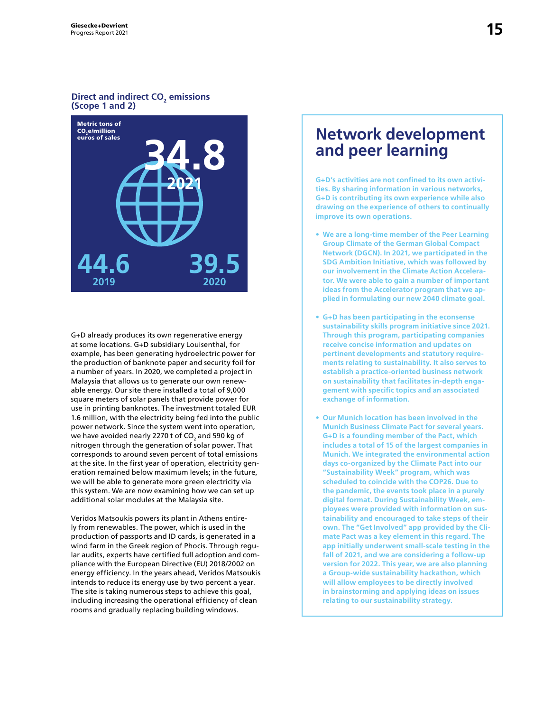#### **Direct and indirect CO<sub>2</sub> emissions (Scope 1 and 2)**



G+D already produces its own regenerative energy at some locations. G+D subsidiary Louisenthal, for example, has been generating hydroelectric power for the production of banknote paper and security foil for a number of years. In 2020, we completed a project in Malaysia that allows us to generate our own renewable energy. Our site there installed a total of 9,000 square meters of solar panels that provide power for use in printing banknotes. The investment totaled EUR 1.6 million, with the electricity being fed into the public power network. Since the system went into operation, we have avoided nearly 2270 t of CO $_{\textrm{\tiny{2}}}$  and 590 kg of nitrogen through the generation of solar power. That corresponds to around seven percent of total emissions at the site. In the first year of operation, electricity generation remained below maximum levels; in the future, we will be able to generate more green electricity via this system. We are now examining how we can set up additional solar modules at the Malaysia site.

Veridos Matsoukis powers its plant in Athens entirely from renewables. The power, which is used in the production of passports and ID cards, is generated in a wind farm in the Greek region of Phocis. Through regular audits, experts have certified full adoption and compliance with the European Directive (EU) 2018/2002 on energy efficiency. In the years ahead, Veridos Matsoukis intends to reduce its energy use by two percent a year. The site is taking numerous steps to achieve this goal, including increasing the operational efficiency of clean rooms and gradually replacing building windows.

### **Network development and peer learning**

**G+D's activities are not confined to its own activities. By sharing information in various networks, G+D is contributing its own experience while also drawing on the experience of others to continually improve its own operations.** 

- **We are a long-time member of the Peer Learning Group Climate of the German Global Compact Network (DGCN). In 2021, we participated in the SDG Ambition Initiative, which was followed by our involvement in the Climate Action Accelerator. We were able to gain a number of important ideas from the Accelerator program that we applied in formulating our new 2040 climate goal.**
- **G+D has been participating in the econsense sustainability skills program initiative since 2021. Through this program, participating companies receive concise information and updates on pertinent developments and statutory requirements relating to sustainability. It also serves to establish a practice-oriented business network on sustainability that facilitates in-depth engagement with specific topics and an associated exchange of information.**
- **Our Munich location has been involved in the Munich Business Climate Pact for several years. G+D is a founding member of the Pact, which includes a total of 15 of the largest companies in Munich. We integrated the environmental action days co-organized by the Climate Pact into our "Sustainability Week" program, which was scheduled to coincide with the COP26. Due to the pandemic, the events took place in a purely digital format. During Sustainability Week, employees were provided with information on sustainability and encouraged to take steps of their own. The "Get Involved" app provided by the Climate Pact was a key element in this regard. The app initially underwent small-scale testing in the fall of 2021, and we are considering a follow-up version for 2022. This year, we are also planning a Group-wide sustainability hackathon, which will allow employees to be directly involved in brainstorming and applying ideas on issues relating to our sustainability strategy.**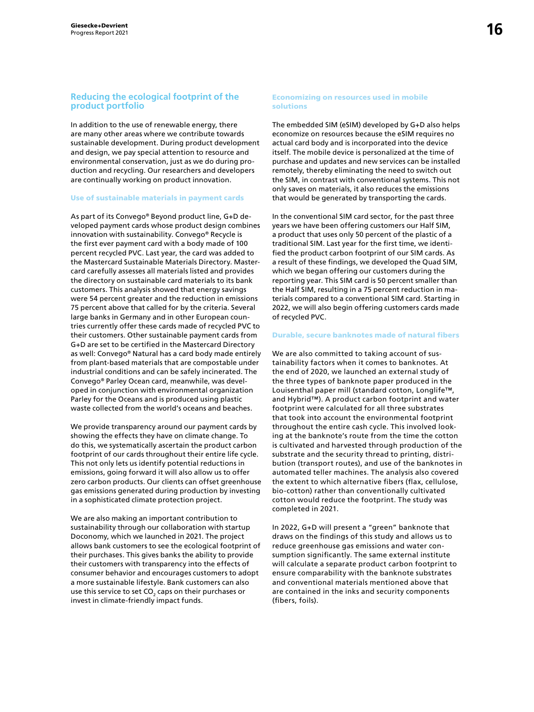#### **Reducing the ecological footprint of the product portfolio**

In addition to the use of renewable energy, there are many other areas where we contribute towards sustainable development. During product development and design, we pay special attention to resource and environmental conservation, just as we do during production and recycling. Our researchers and developers are continually working on product innovation.

#### Use of sustainable materials in payment cards

As part of its Convego® Beyond product line, G+D developed payment cards whose product design combines innovation with sustainability. Convego® Recycle is the first ever payment card with a body made of 100 percent recycled PVC. Last year, the card was added to the Mastercard Sustainable Materials Directory. Mastercard carefully assesses all materials listed and provides the directory on sustainable card materials to its bank customers. This analysis showed that energy savings were 54 percent greater and the reduction in emissions 75 percent above that called for by the criteria. Several large banks in Germany and in other European countries currently offer these cards made of recycled PVC to their customers. Other sustainable payment cards from G+D are set to be certified in the Mastercard Directory as well: Convego® Natural has a card body made entirely from plant-based materials that are compostable under industrial conditions and can be safely incinerated. The Convego® Parley Ocean card, meanwhile, was developed in conjunction with environmental organization Parley for the Oceans and is produced using plastic waste collected from the world's oceans and beaches.

We provide transparency around our payment cards by showing the effects they have on climate change. To do this, we systematically ascertain the product carbon footprint of our cards throughout their entire life cycle. This not only lets us identify potential reductions in emissions, going forward it will also allow us to offer zero carbon products. Our clients can offset greenhouse gas emissions generated during production by investing in a sophisticated climate protection project.

We are also making an important contribution to sustainability through our collaboration with startup Doconomy, which we launched in 2021. The project allows bank customers to see the ecological footprint of their purchases. This gives banks the ability to provide their customers with transparency into the effects of consumer behavior and encourages customers to adopt a more sustainable lifestyle. Bank customers can also use this service to set CO $_{\rm 2}$  caps on their purchases or invest in climate-friendly impact funds.

#### Economizing on resources used in mobile solutions

The embedded SIM (eSIM) developed by G+D also helps economize on resources because the eSIM requires no actual card body and is incorporated into the device itself. The mobile device is personalized at the time of purchase and updates and new services can be installed remotely, thereby eliminating the need to switch out the SIM, in contrast with conventional systems. This not only saves on materials, it also reduces the emissions that would be generated by transporting the cards.

In the conventional SIM card sector, for the past three years we have been offering customers our Half SIM, a product that uses only 50 percent of the plastic of a traditional SIM. Last year for the first time, we identified the product carbon footprint of our SIM cards. As a result of these findings, we developed the Quad SIM, which we began offering our customers during the reporting year. This SIM card is 50 percent smaller than the Half SIM, resulting in a 75 percent reduction in materials compared to a conventional SIM card. Starting in 2022, we will also begin offering customers cards made of recycled PVC.

#### Durable, secure banknotes made of natural fibers

We are also committed to taking account of sustainability factors when it comes to banknotes. At the end of 2020, we launched an external study of the three types of banknote paper produced in the Louisenthal paper mill (standard cotton, Longlife™, and Hybrid™). A product carbon footprint and water footprint were calculated for all three substrates that took into account the environmental footprint throughout the entire cash cycle. This involved looking at the banknote's route from the time the cotton is cultivated and harvested through production of the substrate and the security thread to printing, distribution (transport routes), and use of the banknotes in automated teller machines. The analysis also covered the extent to which alternative fibers (flax, cellulose, bio-cotton) rather than conventionally cultivated cotton would reduce the footprint. The study was completed in 2021.

In 2022, G+D will present a "green" banknote that draws on the findings of this study and allows us to reduce greenhouse gas emissions and water consumption significantly. The same external institute will calculate a separate product carbon footprint to ensure comparability with the banknote substrates and conventional materials mentioned above that are contained in the inks and security components (fibers, foils).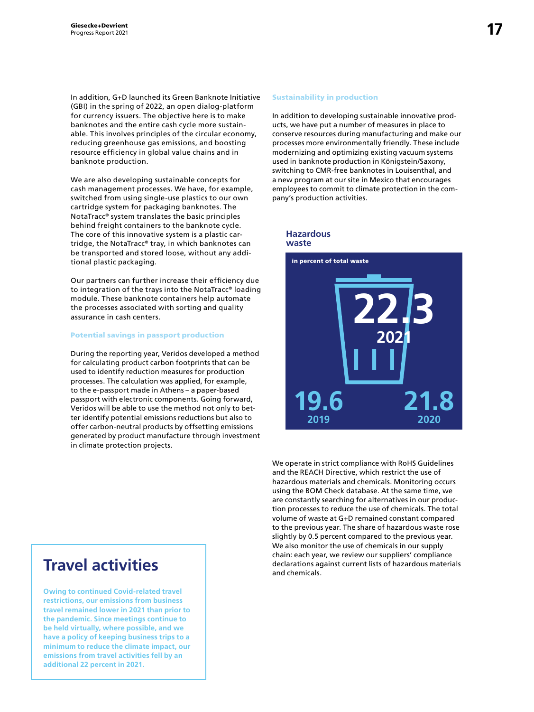In addition, G+D launched its Green Banknote Initiative (GBI) in the spring of 2022, an open dialog-platform for currency issuers. The objective here is to make banknotes and the entire cash cycle more sustainable. This involves principles of the circular economy, reducing greenhouse gas emissions, and boosting resource efficiency in global value chains and in banknote production.

We are also developing sustainable concepts for cash management processes. We have, for example, switched from using single-use plastics to our own cartridge system for packaging banknotes. The NotaTracc® system translates the basic principles behind freight containers to the banknote cycle. The core of this innovative system is a plastic cartridge, the NotaTracc® tray, in which banknotes can be transported and stored loose, without any additional plastic packaging.

Our partners can further increase their efficiency due to integration of the trays into the NotaTracc® loading module. These banknote containers help automate the processes associated with sorting and quality assurance in cash centers.

#### Potential savings in passport production

During the reporting year, Veridos developed a method for calculating product carbon footprints that can be used to identify reduction measures for production processes. The calculation was applied, for example, to the e-passport made in Athens – a paper-based passport with electronic components. Going forward, Veridos will be able to use the method not only to better identify potential emissions reductions but also to offer carbon-neutral products by offsetting emissions generated by product manufacture through investment in climate protection projects.

## **Travel activities**

**Owing to continued Covid-related travel restrictions, our emissions from business travel remained lower in 2021 than prior to the pandemic. Since meetings continue to be held virtually, where possible, and we have a policy of keeping business trips to a minimum to reduce the climate impact, our emissions from travel activities fell by an additional 22 percent in 2021.** 

#### Sustainability in production

In addition to developing sustainable innovative products, we have put a number of measures in place to conserve resources during manufacturing and make our processes more environmentally friendly. These include modernizing and optimizing existing vacuum systems used in banknote production in Königstein/Saxony, switching to CMR-free banknotes in Louisenthal, and a new program at our site in Mexico that encourages employees to commit to climate protection in the company's production activities.



We operate in strict compliance with RoHS Guidelines and the REACH Directive, which restrict the use of hazardous materials and chemicals. Monitoring occurs using the BOM Check database. At the same time, we are constantly searching for alternatives in our production processes to reduce the use of chemicals. The total volume of waste at G+D remained constant compared to the previous year. The share of hazardous waste rose slightly by 0.5 percent compared to the previous year. We also monitor the use of chemicals in our supply chain: each year, we review our suppliers' compliance declarations against current lists of hazardous materials and chemicals.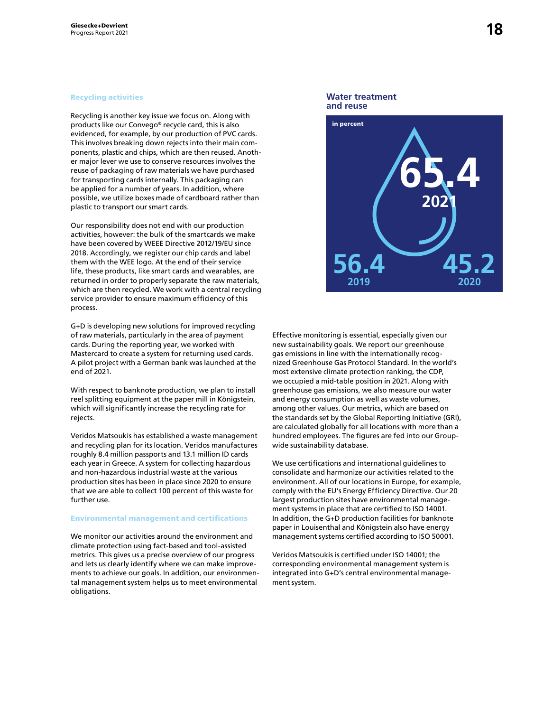#### Recycling activities

Recycling is another key issue we focus on. Along with products like our Convego® recycle card, this is also evidenced, for example, by our production of PVC cards. This involves breaking down rejects into their main components, plastic and chips, which are then reused. Another major lever we use to conserve resources involves the reuse of packaging of raw materials we have purchased for transporting cards internally. This packaging can be applied for a number of years. In addition, where possible, we utilize boxes made of cardboard rather than plastic to transport our smart cards.

Our responsibility does not end with our production activities, however: the bulk of the smartcards we make have been covered by WEEE Directive 2012/19/EU since 2018. Accordingly, we register our chip cards and label them with the WEE logo. At the end of their service life, these products, like smart cards and wearables, are returned in order to properly separate the raw materials, which are then recycled. We work with a central recycling service provider to ensure maximum efficiency of this process.

G+D is developing new solutions for improved recycling of raw materials, particularly in the area of payment cards. During the reporting year, we worked with Mastercard to create a system for returning used cards. A pilot project with a German bank was launched at the end of 2021.

With respect to banknote production, we plan to install reel splitting equipment at the paper mill in Königstein, which will significantly increase the recycling rate for rejects.

Veridos Matsoukis has established a waste management and recycling plan for its location. Veridos manufactures roughly 8.4 million passports and 13.1 million ID cards each year in Greece. A system for collecting hazardous and non-hazardous industrial waste at the various production sites has been in place since 2020 to ensure that we are able to collect 100 percent of this waste for further use.

#### Environmental management and certifications

We monitor our activities around the environment and climate protection using fact-based and tool-assisted metrics. This gives us a precise overview of our progress and lets us clearly identify where we can make improvements to achieve our goals. In addition, our environmental management system helps us to meet environmental obligations.





Effective monitoring is essential, especially given our new sustainability goals. We report our greenhouse gas emissions in line with the internationally recognized Greenhouse Gas Protocol Standard. In the world's most extensive climate protection ranking, the CDP, we occupied a mid-table position in 2021. Along with greenhouse gas emissions, we also measure our water and energy consumption as well as waste volumes, among other values. Our metrics, which are based on the standards set by the Global Reporting Initiative (GRI), are calculated globally for all locations with more than a hundred employees. The figures are fed into our Groupwide sustainability database.

We use certifications and international guidelines to consolidate and harmonize our activities related to the environment. All of our locations in Europe, for example, comply with the EU's Energy Efficiency Directive. Our 20 largest production sites have environmental management systems in place that are certified to ISO 14001. In addition, the G+D production facilities for banknote paper in Louisenthal and Königstein also have energy management systems certified according to ISO 50001.

Veridos Matsoukis is certified under ISO 14001; the corresponding environmental management system is integrated into G+D's central environmental management system.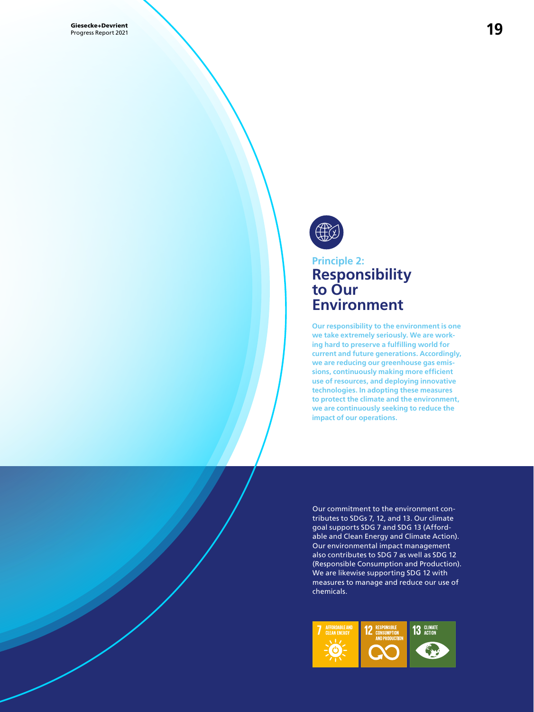

### **Principle 2: Responsibility to Our Environment**

**Our responsibility to the environment is one we take extremely seriously. We are working hard to preserve a fulfilling world for current and future generations. Accordingly, we are reducing our greenhouse gas emissions, continuously making more efficient use of resources, and deploying innovative technologies. In adopting these measures to protect the climate and the environment, we are continuously seeking to reduce the impact of our operations.**

Our commitment to the environment contributes to SDGs 7, 12, and 13. Our climate goal supports SDG 7 and SDG 13 (Affordable and Clean Energy and Climate Action). Our environmental impact management also contributes to SDG 7 as well as SDG 12 (Responsible Consumption and Production). We are likewise supporting SDG 12 with measures to manage and reduce our use of chemicals.

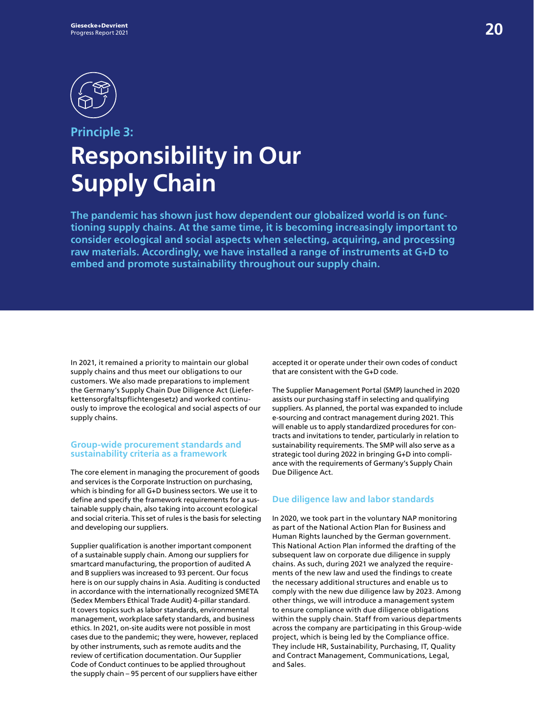

## **Principle 3: Responsibility in Our Supply Chain**

**The pandemic has shown just how dependent our globalized world is on functioning supply chains. At the same time, it is becoming increasingly important to consider ecological and social aspects when selecting, acquiring, and processing raw materials. Accordingly, we have installed a range of instruments at G+D to embed and promote sustainability throughout our supply chain.** 

In 2021, it remained a priority to maintain our global supply chains and thus meet our obligations to our customers. We also made preparations to implement the Germany's Supply Chain Due Diligence Act (Lieferkettensorgfaltspflichtengesetz) and worked continuously to improve the ecological and social aspects of our supply chains.

#### **Group-wide procurement standards and sustainability criteria as a framework**

The core element in managing the procurement of goods and services is the Corporate Instruction on purchasing, which is binding for all G+D business sectors. We use it to define and specify the framework requirements for a sustainable supply chain, also taking into account ecological and social criteria. This set of rules is the basis for selecting and developing our suppliers.

Supplier qualification is another important component of a sustainable supply chain. Among our suppliers for smartcard manufacturing, the proportion of audited A and B suppliers was increased to 93 percent. Our focus here is on our supply chains in Asia. Auditing is conducted in accordance with the internationally recognized SMETA (Sedex Members Ethical Trade Audit) 4-pillar standard. It covers topics such as labor standards, environmental management, workplace safety standards, and business ethics. In 2021, on-site audits were not possible in most cases due to the pandemic; they were, however, replaced by other instruments, such as remote audits and the review of certification documentation. Our Supplier Code of Conduct continues to be applied throughout the supply chain – 95 percent of our suppliers have either

accepted it or operate under their own codes of conduct that are consistent with the G+D code.

The Supplier Management Portal (SMP) launched in 2020 assists our purchasing staff in selecting and qualifying suppliers. As planned, the portal was expanded to include e-sourcing and contract management during 2021. This will enable us to apply standardized procedures for contracts and invitations to tender, particularly in relation to sustainability requirements. The SMP will also serve as a strategic tool during 2022 in bringing G+D into compliance with the requirements of Germany's Supply Chain Due Diligence Act.

#### **Due diligence law and labor standards**

In 2020, we took part in the voluntary NAP monitoring as part of the National Action Plan for Business and Human Rights launched by the German government. This National Action Plan informed the drafting of the subsequent law on corporate due diligence in supply chains. As such, during 2021 we analyzed the requirements of the new law and used the findings to create the necessary additional structures and enable us to comply with the new due diligence law by 2023. Among other things, we will introduce a management system to ensure compliance with due diligence obligations within the supply chain. Staff from various departments across the company are participating in this Group-wide project, which is being led by the Compliance office. They include HR, Sustainability, Purchasing, IT, Quality and Contract Management, Communications, Legal, and Sales.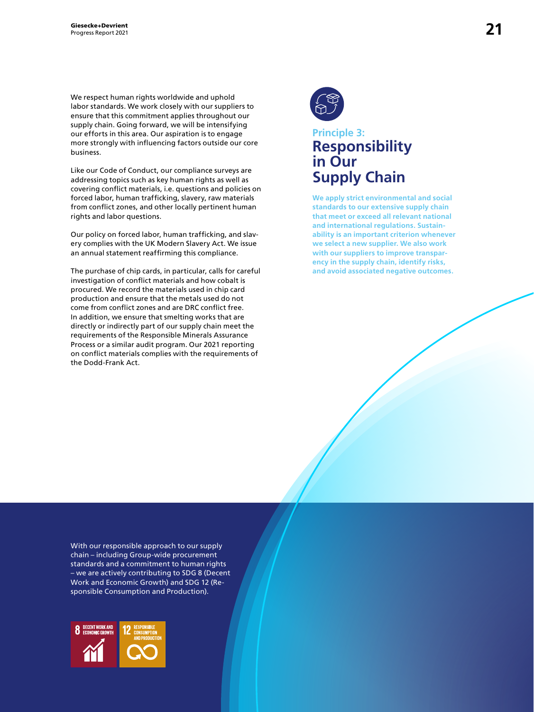We respect human rights worldwide and uphold labor standards. We work closely with our suppliers to ensure that this commitment applies throughout our supply chain. Going forward, we will be intensifying our efforts in this area. Our aspiration is to engage more strongly with influencing factors outside our core business.

Like our Code of Conduct, our compliance surveys are addressing topics such as key human rights as well as covering conflict materials, i.e. questions and policies on forced labor, human trafficking, slavery, raw materials from conflict zones, and other locally pertinent human rights and labor questions.

Our policy on forced labor, human trafficking, and slavery complies with the UK Modern Slavery Act. We issue an annual statement reaffirming this compliance.

The purchase of chip cards, in particular, calls for careful investigation of conflict materials and how cobalt is procured. We record the materials used in chip card production and ensure that the metals used do not come from conflict zones and are DRC conflict free. In addition, we ensure that smelting works that are directly or indirectly part of our supply chain meet the requirements of the Responsible Minerals Assurance Process or a similar audit program. Our 2021 reporting on conflict materials complies with the requirements of the Dodd-Frank Act.



### **Principle 3: Responsibility in Our Supply Chain**

**We apply strict environmental and social standards to our extensive supply chain that meet or exceed all relevant national and international regulations. Sustainability is an important criterion whenever we select a new supplier. We also work with our suppliers to improve transparency in the supply chain, identify risks, and avoid associated negative outcomes.**

With our responsible approach to our supply chain – including Group-wide procurement standards and a commitment to human rights – we are actively contributing to SDG 8 (Decent Work and Economic Growth) and SDG 12 (Responsible Consumption and Production).

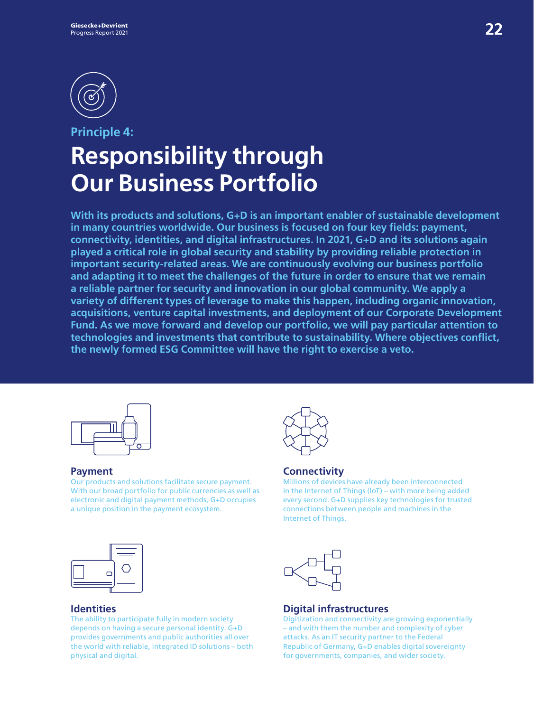

## **Principle 4: Responsibility through Our Business Portfolio**

**With its products and solutions, G+D is an important enabler of sustainable development in many countries worldwide. Our business is focused on four key fields: payment, connectivity, identities, and digital infrastructures. In 2021, G+D and its solutions again played a critical role in global security and stability by providing reliable protection in important security-related areas. We are continuously evolving our business portfolio and adapting it to meet the challenges of the future in order to ensure that we remain a reliable partner for security and innovation in our global community. We apply a variety of different types of leverage to make this happen, including organic innovation, acquisitions, venture capital investments, and deployment of our Corporate Development Fund. As we move forward and develop our portfolio, we will pay particular attention to technologies and investments that contribute to sustainability. Where objectives conflict, the newly formed ESG Committee will have the right to exercise a veto.** 



#### **Payment**

Our products and solutions facilitate secure payment. With our broad portfolio for public currencies as well as electronic and digital payment methods, G+D occupies a unique position in the payment ecosystem.



#### **Connectivity**

Millions of devices have already been interconnected in the Internet of Things (IoT) – with more being added every second. G+D supplies key technologies for trusted connections between people and machines in the Internet of Things.



#### **Identities**

The ability to participate fully in modern society depends on having a secure personal identity. G+D provides governments and public authorities all over the world with reliable, integrated ID solutions – both physical and digital.



#### **Digital infrastructures**

Digitization and connectivity are growing exponentially – and with them the number and complexity of cyber attacks. As an IT security partner to the Federal Republic of Germany, G+D enables digital sovereignty for governments, companies, and wider society.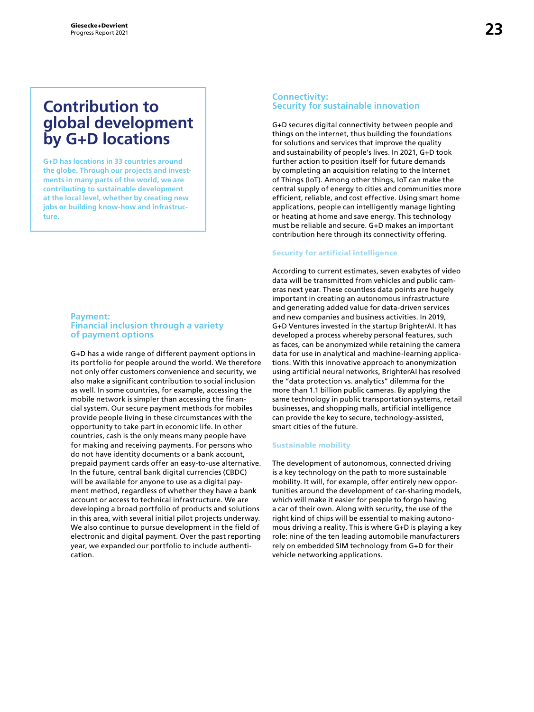### **Contribution to global development by G+D locations**

**G+D has locations in 33 countries around the globe. Through our projects and investments in many parts of the world, we are contributing to sustainable development at the local level, whether by creating new jobs or building know-how and infrastructure.** 

#### **Payment: Financial inclusion through a variety of payment options**

G+D has a wide range of different payment options in its portfolio for people around the world. We therefore not only offer customers convenience and security, we also make a significant contribution to social inclusion as well. In some countries, for example, accessing the mobile network is simpler than accessing the financial system. Our secure payment methods for mobiles provide people living in these circumstances with the opportunity to take part in economic life. In other countries, cash is the only means many people have for making and receiving payments. For persons who do not have identity documents or a bank account, prepaid payment cards offer an easy-to-use alternative. In the future, central bank digital currencies (CBDC) will be available for anyone to use as a digital payment method, regardless of whether they have a bank account or access to technical infrastructure. We are developing a broad portfolio of products and solutions in this area, with several initial pilot projects underway. We also continue to pursue development in the field of electronic and digital payment. Over the past reporting year, we expanded our portfolio to include authentication.

#### **Connectivity: Security for sustainable innovation**

G+D secures digital connectivity between people and things on the internet, thus building the foundations for solutions and services that improve the quality and sustainability of people's lives. In 2021, G+D took further action to position itself for future demands by completing an acquisition relating to the Internet of Things (IoT). Among other things, IoT can make the central supply of energy to cities and communities more efficient, reliable, and cost effective. Using smart home applications, people can intelligently manage lighting or heating at home and save energy. This technology must be reliable and secure. G+D makes an important contribution here through its connectivity offering.

#### Security for artificial intelligence

According to current estimates, seven exabytes of video data will be transmitted from vehicles and public cameras next year. These countless data points are hugely important in creating an autonomous infrastructure and generating added value for data-driven services and new companies and business activities. In 2019, G+D Ventures invested in the startup BrighterAI. It has developed a process whereby personal features, such as faces, can be anonymized while retaining the camera data for use in analytical and machine-learning applications. With this innovative approach to anonymization using artificial neural networks, BrighterAI has resolved the "data protection vs. analytics" dilemma for the more than 1.1 billion public cameras. By applying the same technology in public transportation systems, retail businesses, and shopping malls, artificial intelligence can provide the key to secure, technology-assisted, smart cities of the future.

#### Sustainable mobility

The development of autonomous, connected driving is a key technology on the path to more sustainable mobility. It will, for example, offer entirely new opportunities around the development of car-sharing models, which will make it easier for people to forgo having a car of their own. Along with security, the use of the right kind of chips will be essential to making autonomous driving a reality. This is where G+D is playing a key role: nine of the ten leading automobile manufacturers rely on embedded SIM technology from G+D for their vehicle networking applications.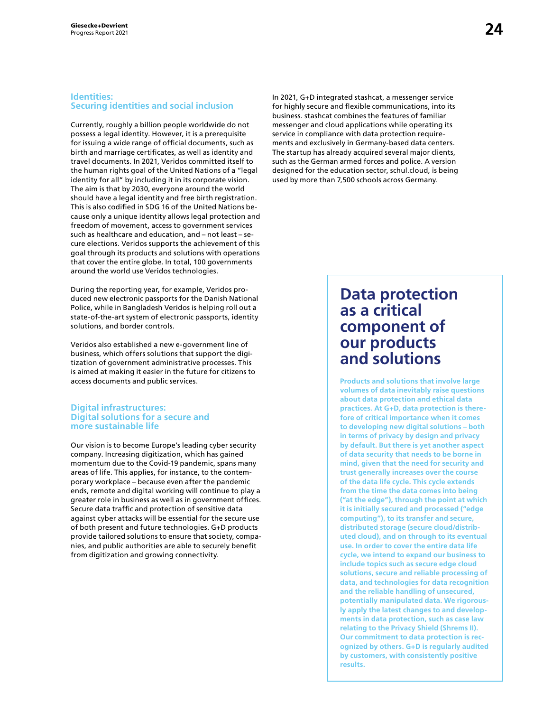#### **Identities: Securing identities and social inclusion**

Currently, roughly a billion people worldwide do not possess a legal identity. However, it is a prerequisite for issuing a wide range of official documents, such as birth and marriage certificates, as well as identity and travel documents. In 2021, Veridos committed itself to the human rights goal of the United Nations of a "legal identity for all" by including it in its corporate vision. The aim is that by 2030, everyone around the world should have a legal identity and free birth registration. This is also codified in SDG 16 of the United Nations because only a unique identity allows legal protection and freedom of movement, access to government services such as healthcare and education, and – not least – secure elections. Veridos supports the achievement of this goal through its products and solutions with operations that cover the entire globe. In total, 100 governments around the world use Veridos technologies.

During the reporting year, for example, Veridos produced new electronic passports for the Danish National Police, while in Bangladesh Veridos is helping roll out a state-of-the-art system of electronic passports, identity solutions, and border controls.

Veridos also established a new e-government line of business, which offers solutions that support the digitization of government administrative processes. This is aimed at making it easier in the future for citizens to access documents and public services.

#### **Digital infrastructures: Digital solutions for a secure and more sustainable life**

Our vision is to become Europe's leading cyber security company. Increasing digitization, which has gained momentum due to the Covid-19 pandemic, spans many areas of life. This applies, for instance, to the contemporary workplace – because even after the pandemic ends, remote and digital working will continue to play a greater role in business as well as in government offices. Secure data traffic and protection of sensitive data against cyber attacks will be essential for the secure use of both present and future technologies. G+D products provide tailored solutions to ensure that society, companies, and public authorities are able to securely benefit from digitization and growing connectivity.

In 2021, G+D integrated stashcat, a messenger service for highly secure and flexible communications, into its business. stashcat combines the features of familiar messenger and cloud applications while operating its service in compliance with data protection requirements and exclusively in Germany-based data centers. The startup has already acquired several major clients, such as the German armed forces and police. A version designed for the education sector, schul.cloud, is being used by more than 7,500 schools across Germany.

### **Data protection as a critical component of our products and solutions**

**Products and solutions that involve large volumes of data inevitably raise questions about data protection and ethical data practices. At G+D, data protection is therefore of critical importance when it comes to developing new digital solutions – both in terms of privacy by design and privacy by default. But there is yet another aspect of data security that needs to be borne in mind, given that the need for security and trust generally increases over the course of the data life cycle. This cycle extends from the time the data comes into being ("at the edge"), through the point at which it is initially secured and processed ("edge computing"), to its transfer and secure, distributed storage (secure cloud/distributed cloud), and on through to its eventual use. In order to cover the entire data life cycle, we intend to expand our business to include topics such as secure edge cloud solutions, secure and reliable processing of data, and technologies for data recognition and the reliable handling of unsecured, potentially manipulated data. We rigorously apply the latest changes to and developments in data protection, such as case law relating to the Privacy Shield (Shrems II). Our commitment to data protection is recognized by others. G+D is regularly audited by customers, with consistently positive results.**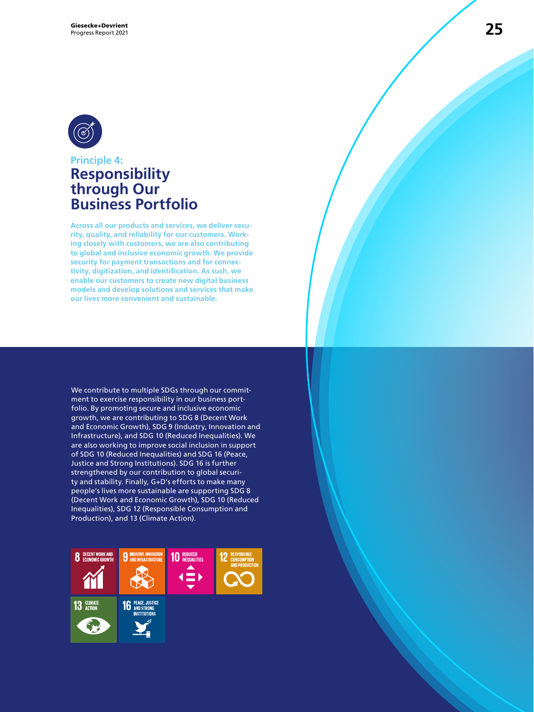

### **Principle 4: Responsibility through Our Business Portfolio**

**Across all our products and services, we deliver security, quality, and reliability for our customers. Working closely with customers, we are also contributing to global and inclusive economic growth. We provide security for payment transactions and for connectivity, digitization, and identification. As such, we enable our customers to create new digital business models and develop solutions and services that make our lives more convenient and sustainable.**

We contribute to multiple SDGs through our commitment to exercise responsibility in our business portfolio. By promoting secure and inclusive economic growth, we are contributing to SDG 8 (Decent Work and Economic Growth), SDG 9 (Industry, Innovation and Infrastructure), and SDG 10 (Reduced Inequalities). We are also working to improve social inclusion in support of SDG 10 (Reduced Inequalities) and SDG 16 (Peace, Justice and Strong Institutions). SDG 16 is further strengthened by our contribution to global security and stability. Finally, G+D's efforts to make many people's lives more sustainable are supporting SDG 8 (Decent Work and Economic Growth), SDG 10 (Reduced Inequalities), SDG 12 (Responsible Consumption and Production), and 13 (Climate Action).

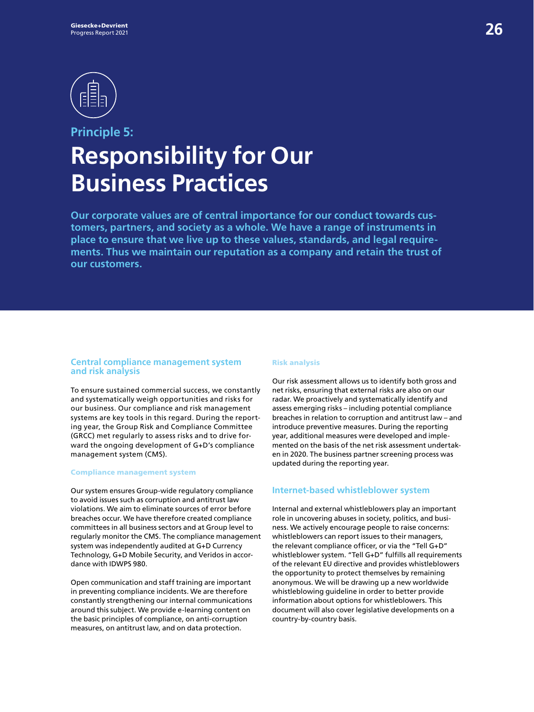

## **Principle 5: Responsibility for Our Business Practices**

**Our corporate values are of central importance for our conduct towards customers, partners, and society as a whole. We have a range of instruments in place to ensure that we live up to these values, standards, and legal requirements. Thus we maintain our reputation as a company and retain the trust of our customers.** 

#### **Central compliance management system and risk analysis**

To ensure sustained commercial success, we constantly and systematically weigh opportunities and risks for our business. Our compliance and risk management systems are key tools in this regard. During the reporting year, the Group Risk and Compliance Committee (GRCC) met regularly to assess risks and to drive forward the ongoing development of G+D's compliance management system (CMS).

#### Compliance management system

Our system ensures Group-wide regulatory compliance to avoid issues such as corruption and antitrust law violations. We aim to eliminate sources of error before breaches occur. We have therefore created compliance committees in all business sectors and at Group level to regularly monitor the CMS. The compliance management system was independently audited at G+D Currency Technology, G+D Mobile Security, and Veridos in accordance with IDWPS 980.

Open communication and staff training are important in preventing compliance incidents. We are therefore constantly strengthening our internal communications around this subject. We provide e-learning content on the basic principles of compliance, on anti-corruption measures, on antitrust law, and on data protection.

#### Risk analysis

Our risk assessment allows us to identify both gross and net risks, ensuring that external risks are also on our radar. We proactively and systematically identify and assess emerging risks – including potential compliance breaches in relation to corruption and antitrust law – and introduce preventive measures. During the reporting year, additional measures were developed and implemented on the basis of the net risk assessment undertaken in 2020. The business partner screening process was updated during the reporting year.

#### **Internet-based whistleblower system**

Internal and external whistleblowers play an important role in uncovering abuses in society, politics, and business. We actively encourage people to raise concerns: whistleblowers can report issues to their managers, the relevant compliance officer, or via the "Tell G+D" whistleblower system. "Tell G+D" fulfills all requirements of the relevant EU directive and provides whistleblowers the opportunity to protect themselves by remaining anonymous. We will be drawing up a new worldwide whistleblowing guideline in order to better provide information about options for whistleblowers. This document will also cover legislative developments on a country-by-country basis.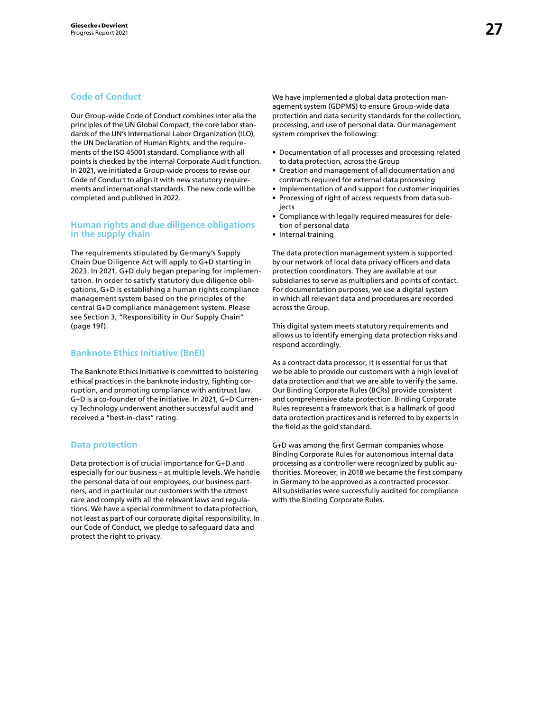#### **Code of Conduct**

Our Group-wide Code of Conduct combines inter alia the principles of the UN Global Compact, the core labor standards of the UN's International Labor Organization (ILO), the UN Declaration of Human Rights, and the requirements of the ISO 45001 standard. Compliance with all points is checked by the internal Corporate Audit function. In 2021, we initiated a Group-wide process to revise our Code of Conduct to align it with new statutory requirements and international standards. The new code will be completed and published in 2022.

#### **Human rights and due diligence obligations in the supply chain**

The requirements stipulated by Germany's Supply Chain Due Diligence Act will apply to G+D starting in 2023. In 2021, G+D duly began preparing for implementation. In order to satisfy statutory due diligence obligations, G+D is establishing a human rights compliance management system based on the principles of the central G+D compliance management system. Please see Section 3, "Responsibility in Our Supply Chain" (page 19f).

#### **Banknote Ethics Initiative (BnEI)**

The Banknote Ethics Initiative is committed to bolstering ethical practices in the banknote industry, fighting corruption, and promoting compliance with antitrust law. G+D is a co-founder of the initiative. In 2021, G+D Currency Technology underwent another successful audit and received a "best-in-class" rating.

#### **Data protection**

Data protection is of crucial importance for G+D and especially for our business – at multiple levels. We handle the personal data of our employees, our business partners, and in particular our customers with the utmost care and comply with all the relevant laws and regulations. We have a special commitment to data protection, not least as part of our corporate digital responsibility. In our Code of Conduct, we pledge to safeguard data and protect the right to privacy.

We have implemented a global data protection management system (GDPMS) to ensure Group-wide data protection and data security standards for the collection, processing, and use of personal data. Our management system comprises the following:

- Documentation of all processes and processing related to data protection, across the Group
- Creation and management of all documentation and contracts required for external data processing
- Implementation of and support for customer inquiries • Processing of right of access requests from data sub-
- iects
- Compliance with legally required measures for deletion of personal data
- Internal training

The data protection management system is supported by our network of local data privacy officers and data protection coordinators. They are available at our subsidiaries to serve as multipliers and points of contact. For documentation purposes, we use a digital system in which all relevant data and procedures are recorded across the Group.

This digital system meets statutory requirements and allows us to identify emerging data protection risks and respond accordingly.

As a contract data processor, it is essential for us that we be able to provide our customers with a high level of data protection and that we are able to verify the same. Our Binding Corporate Rules (BCRs) provide consistent and comprehensive data protection. Binding Corporate Rules represent a framework that is a hallmark of good data protection practices and is referred to by experts in the field as the gold standard.

G+D was among the first German companies whose Binding Corporate Rules for autonomous internal data processing as a controller were recognized by public authorities. Moreover, in 2018 we became the first company in Germany to be approved as a contracted processor. All subsidiaries were successfully audited for compliance with the Binding Corporate Rules.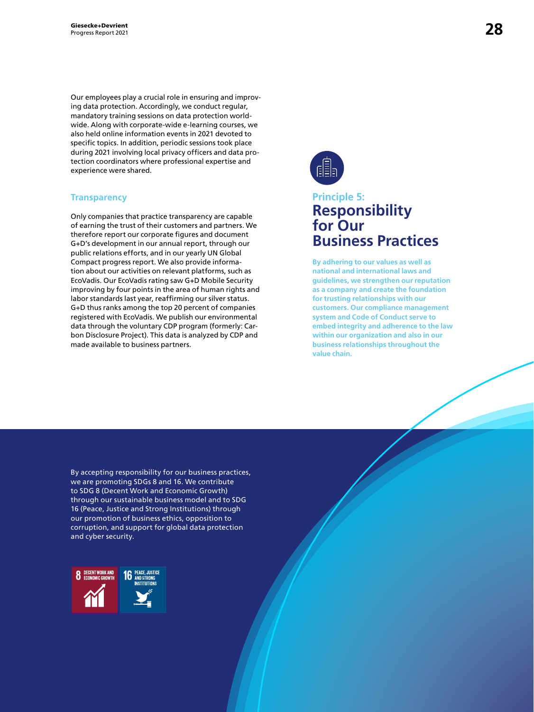Our employees play a crucial role in ensuring and improving data protection. Accordingly, we conduct regular, mandatory training sessions on data protection worldwide. Along with corporate-wide e-learning courses, we also held online information events in 2021 devoted to specific topics. In addition, periodic sessions took place during 2021 involving local privacy officers and data protection coordinators where professional expertise and experience were shared.

#### **Transparency**

Only companies that practice transparency are capable of earning the trust of their customers and partners. We therefore report our corporate figures and document G+D's development in our annual report, through our public relations efforts, and in our yearly UN Global Compact progress report. We also provide information about our activities on relevant platforms, such as EcoVadis. Our EcoVadis rating saw G+D Mobile Security improving by four points in the area of human rights and labor standards last year, reaffirming our silver status. G+D thus ranks among the top 20 percent of companies registered with EcoVadis. We publish our environmental data through the voluntary CDP program (formerly: Carbon Disclosure Project). This data is analyzed by CDP and made available to business partners.



### **Principle 5: Responsibility for Our Business Practices**

**By adhering to our values as well as national and international laws and guidelines, we strengthen our reputation as a company and create the foundation for trusting relationships with our customers. Our compliance management system and Code of Conduct serve to embed integrity and adherence to the law within our organization and also in our business relationships throughout the value chain.**

By accepting responsibility for our business practices, we are promoting SDGs 8 and 16. We contribute to SDG 8 (Decent Work and Economic Growth) through our sustainable business model and to SDG 16 (Peace, Justice and Strong Institutions) through our promotion of business ethics, opposition to corruption, and support for global data protection and cyber security.

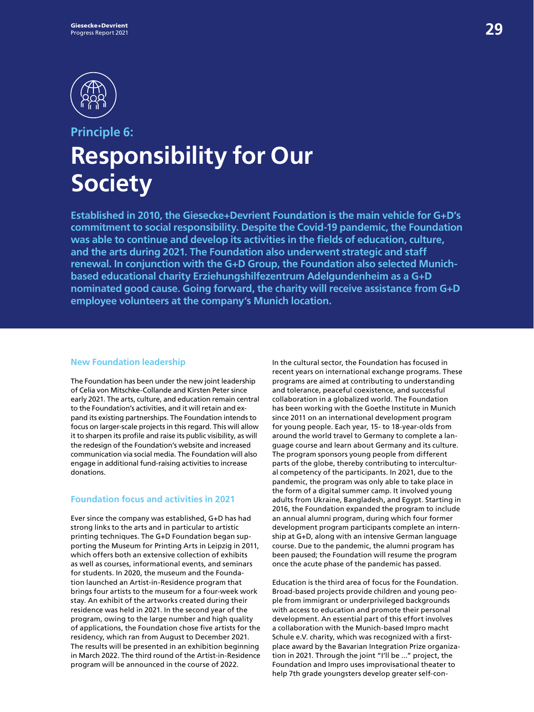

## **Principle 6: Responsibility for Our Society**

**Established in 2010, the Giesecke+Devrient Foundation is the main vehicle for G+D's commitment to social responsibility. Despite the Covid-19 pandemic, the Foundation was able to continue and develop its activities in the fields of education, culture, and the arts during 2021. The Foundation also underwent strategic and staff renewal. In conjunction with the G+D Group, the Foundation also selected Munichbased educational charity Erziehungshilfezentrum Adelgundenheim as a G+D nominated good cause. Going forward, the charity will receive assistance from G+D employee volunteers at the company's Munich location.** 

#### **New Foundation leadership**

The Foundation has been under the new joint leadership of Celia von Mitschke-Collande and Kirsten Peter since early 2021. The arts, culture, and education remain central to the Foundation's activities, and it will retain and expand its existing partnerships. The Foundation intends to focus on larger-scale projects in this regard. This will allow it to sharpen its profile and raise its public visibility, as will the redesign of the Foundation's website and increased communication via social media. The Foundation will also engage in additional fund-raising activities to increase donations.

#### **Foundation focus and activities in 2021**

Ever since the company was established, G+D has had strong links to the arts and in particular to artistic printing techniques. The G+D Foundation began supporting the Museum for Printing Arts in Leipzig in 2011, which offers both an extensive collection of exhibits as well as courses, informational events, and seminars for students. In 2020, the museum and the Foundation launched an Artist-in-Residence program that brings four artists to the museum for a four-week work stay. An exhibit of the artworks created during their residence was held in 2021. In the second year of the program, owing to the large number and high quality of applications, the Foundation chose five artists for the residency, which ran from August to December 2021. The results will be presented in an exhibition beginning in March 2022. The third round of the Artist-in-Residence program will be announced in the course of 2022.

In the cultural sector, the Foundation has focused in recent years on international exchange programs. These programs are aimed at contributing to understanding and tolerance, peaceful coexistence, and successful collaboration in a globalized world. The Foundation has been working with the Goethe Institute in Munich since 2011 on an international development program for young people. Each year, 15- to 18-year-olds from around the world travel to Germany to complete a language course and learn about Germany and its culture. The program sponsors young people from different parts of the globe, thereby contributing to intercultural competency of the participants. In 2021, due to the pandemic, the program was only able to take place in the form of a digital summer camp. It involved young adults from Ukraine, Bangladesh, and Egypt. Starting in 2016, the Foundation expanded the program to include an annual alumni program, during which four former development program participants complete an internship at G+D, along with an intensive German language course. Due to the pandemic, the alumni program has been paused; the Foundation will resume the program once the acute phase of the pandemic has passed.

Education is the third area of focus for the Foundation. Broad-based projects provide children and young people from immigrant or underprivileged backgrounds with access to education and promote their personal development. An essential part of this effort involves a collaboration with the Munich-based Impro macht Schule e.V. charity, which was recognized with a firstplace award by the Bavarian Integration Prize organization in 2021. Through the joint "I'll be ..." project, the Foundation and Impro uses improvisational theater to help 7th grade youngsters develop greater self-con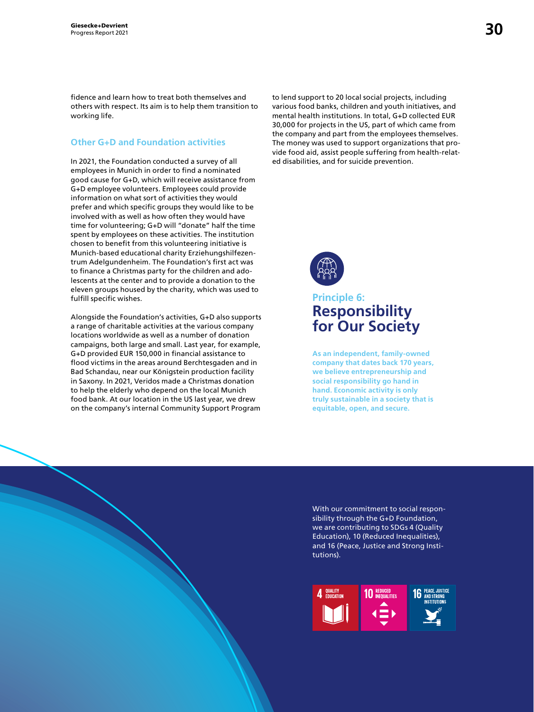fidence and learn how to treat both themselves and others with respect. Its aim is to help them transition to working life.

#### **Other G+D and Foundation activities**

In 2021, the Foundation conducted a survey of all employees in Munich in order to find a nominated good cause for G+D, which will receive assistance from G+D employee volunteers. Employees could provide information on what sort of activities they would prefer and which specific groups they would like to be involved with as well as how often they would have time for volunteering; G+D will "donate" half the time spent by employees on these activities. The institution chosen to benefit from this volunteering initiative is Munich-based educational charity Erziehungshilfezentrum Adelgundenheim. The Foundation's first act was to finance a Christmas party for the children and adolescents at the center and to provide a donation to the eleven groups housed by the charity, which was used to fulfill specific wishes.

Alongside the Foundation's activities, G+D also supports a range of charitable activities at the various company locations worldwide as well as a number of donation campaigns, both large and small. Last year, for example, G+D provided EUR 150,000 in financial assistance to flood victims in the areas around Berchtesgaden and in Bad Schandau, near our Königstein production facility in Saxony. In 2021, Veridos made a Christmas donation to help the elderly who depend on the local Munich food bank. At our location in the US last year, we drew on the company's internal Community Support Program

to lend support to 20 local social projects, including various food banks, children and youth initiatives, and mental health institutions. In total, G+D collected EUR 30,000 for projects in the US, part of which came from the company and part from the employees themselves. The money was used to support organizations that provide food aid, assist people suffering from health-related disabilities, and for suicide prevention.



### **Principle 6: Responsibility for Our Society**

**As an independent, family-owned company that dates back 170 years, we believe entrepreneurship and social responsibility go hand in hand. Economic activity is only truly sustainable in a society that is equitable, open, and secure.**

With our commitment to social responsibility through the G+D Foundation, we are contributing to SDGs 4 (Quality Education), 10 (Reduced Inequalities), and 16 (Peace, Justice and Strong Institutions).